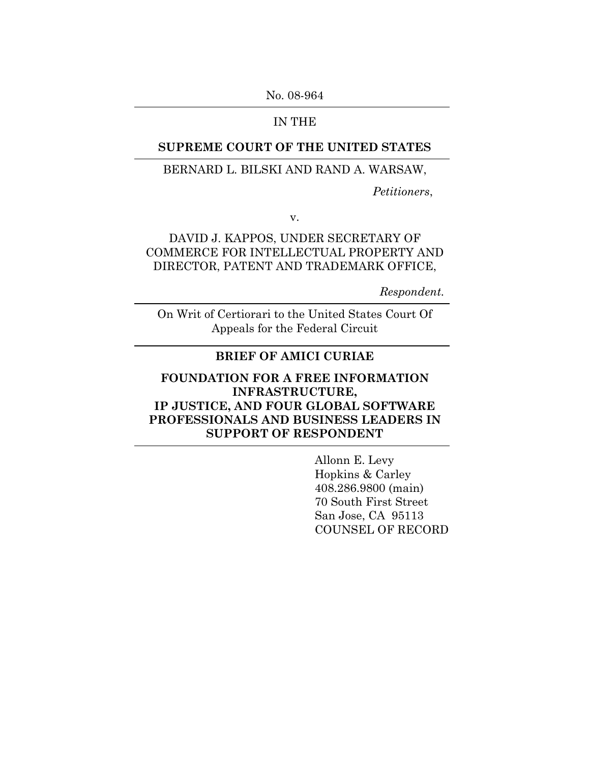No. 08-964

### IN THE

### **SUPREME COURT OF THE UNITED STATES**

### BERNARD L. BILSKI AND RAND A. WARSAW,

*Petitioners*,

v.

### DAVID J. KAPPOS, UNDER SECRETARY OF COMMERCE FOR INTELLECTUAL PROPERTY AND DIRECTOR, PATENT AND TRADEMARK OFFICE,

*Respondent.* 

On Writ of Certiorari to the United States Court Of Appeals for the Federal Circuit

### **BRIEF OF AMICI CURIAE**

## **FOUNDATION FOR A FREE INFORMATION INFRASTRUCTURE, IP JUSTICE, AND FOUR GLOBAL SOFTWARE PROFESSIONALS AND BUSINESS LEADERS IN SUPPORT OF RESPONDENT**

Allonn E. Levy Hopkins & Carley 408.286.9800 (main) 70 South First Street San Jose, CA 95113 COUNSEL OF RECORD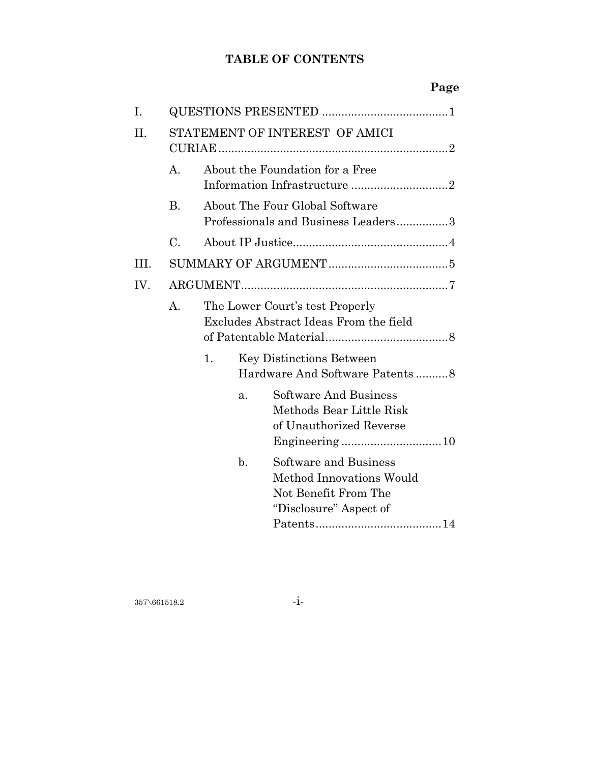# **TABLE OF CONTENTS**

|     |                |                                                                           |                |                                                                                                     | Page |  |
|-----|----------------|---------------------------------------------------------------------------|----------------|-----------------------------------------------------------------------------------------------------|------|--|
| I.  |                |                                                                           |                |                                                                                                     |      |  |
| II. |                |                                                                           |                | STATEMENT OF INTEREST OF AMICI                                                                      |      |  |
|     | A <sub>1</sub> | About the Foundation for a Free<br>Information Infrastructure 2           |                |                                                                                                     |      |  |
|     | <b>B.</b>      | About The Four Global Software<br>Professionals and Business Leaders3     |                |                                                                                                     |      |  |
|     | C.             |                                                                           |                |                                                                                                     |      |  |
| HL. |                |                                                                           |                |                                                                                                     |      |  |
| IV. |                |                                                                           |                |                                                                                                     |      |  |
|     | A.             | The Lower Court's test Properly<br>Excludes Abstract Ideas From the field |                |                                                                                                     |      |  |
|     |                | 1.<br><b>Key Distinctions Between</b><br>Hardware And Software Patents8   |                |                                                                                                     |      |  |
|     |                |                                                                           | a.             | <b>Software And Business</b><br>Methods Bear Little Risk<br>of Unauthorized Reverse                 |      |  |
|     |                |                                                                           | $\mathbf{b}$ . | Software and Business<br>Method Innovations Would<br>Not Benefit From The<br>"Disclosure" Aspect of |      |  |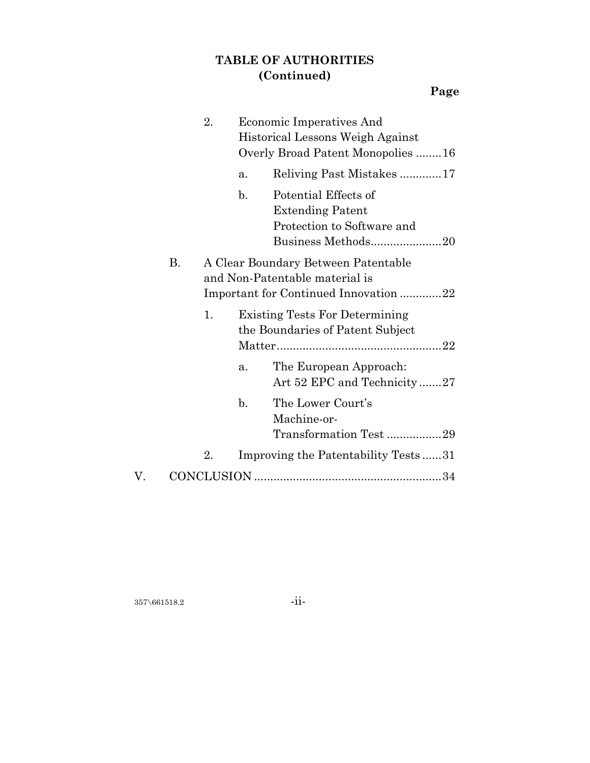# **TABLE OF AUTHORITIES (Continued)**

|    |    | 2.                                                                                                            | Economic Imperatives And<br>Historical Lessons Weigh Against<br>Overly Broad Patent Monopolies 16                     |  |
|----|----|---------------------------------------------------------------------------------------------------------------|-----------------------------------------------------------------------------------------------------------------------|--|
|    |    |                                                                                                               | Reliving Past Mistakes17<br>a.                                                                                        |  |
|    |    |                                                                                                               | $\mathbf{b}$ .<br>Potential Effects of<br><b>Extending Patent</b><br>Protection to Software and<br>Business Methods20 |  |
|    | В. | A Clear Boundary Between Patentable<br>and Non-Patentable material is<br>Important for Continued Innovation22 |                                                                                                                       |  |
|    |    | 1.                                                                                                            | <b>Existing Tests For Determining</b><br>the Boundaries of Patent Subject                                             |  |
|    |    |                                                                                                               | The European Approach:<br>a.<br>Art 52 EPC and Technicity27                                                           |  |
|    |    |                                                                                                               | The Lower Court's<br>$\mathbf{b}$ .<br>Machine-or-<br>Transformation Test 29                                          |  |
|    |    | 2.                                                                                                            | Improving the Patentability Tests31                                                                                   |  |
| V. |    |                                                                                                               |                                                                                                                       |  |

357\661518.2 -ii-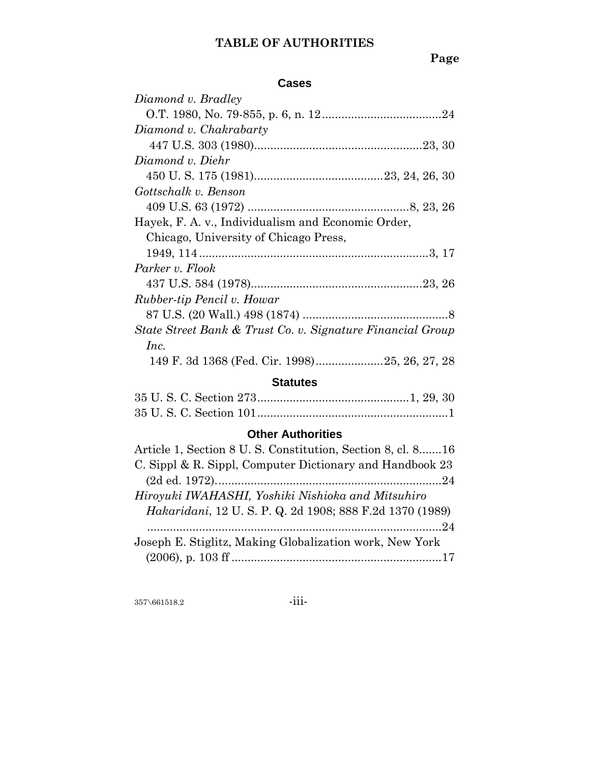# **TABLE OF AUTHORITIES**

# **Page**

### **Cases**

| Diamond v. Bradley                                         |
|------------------------------------------------------------|
|                                                            |
| Diamond v. Chakrabarty                                     |
|                                                            |
| Diamond v. Diehr                                           |
|                                                            |
| Gottschalk v. Benson                                       |
|                                                            |
| Hayek, F. A. v., Individualism and Economic Order,         |
| Chicago, University of Chicago Press,                      |
|                                                            |
| Parker v. Flook                                            |
|                                                            |
| Rubber-tip Pencil v. Howar                                 |
|                                                            |
| State Street Bank & Trust Co. v. Signature Financial Group |
| Inc.                                                       |
| 149 F. 3d 1368 (Fed. Cir. 1998)25, 26, 27, 28              |

## **Statutes**

# **Other Authorities**

| Article 1, Section 8 U.S. Constitution, Section 8, cl. 816 |
|------------------------------------------------------------|
| C. Sippl & R. Sippl, Computer Dictionary and Handbook 23   |
|                                                            |
| Hiroyuki IWAHASHI, Yoshiki Nishioka and Mitsuhiro          |
| Hakaridani, 12 U.S. P.Q. 2d 1908; 888 F.2d 1370 (1989)     |
|                                                            |
| Joseph E. Stiglitz, Making Globalization work, New York    |
|                                                            |

357\661518.2 -iii-

$$
\cdot \mathrm{iii} \cdot
$$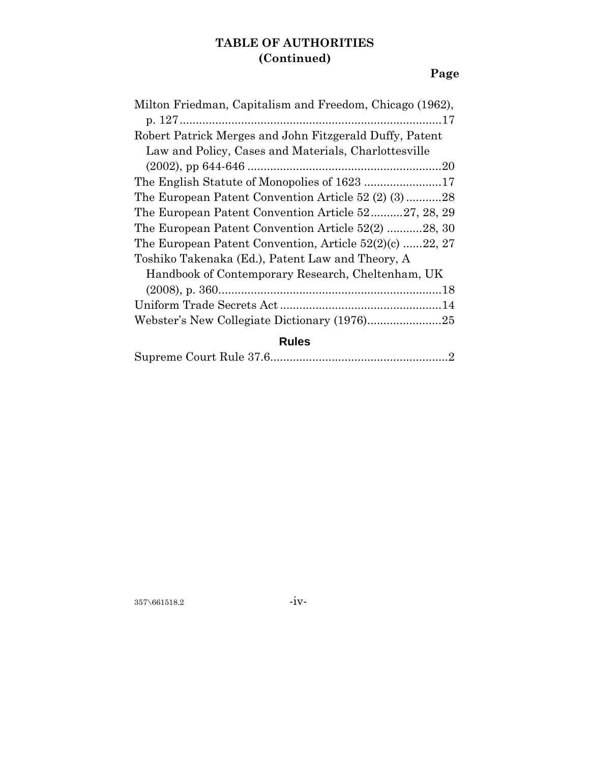# **TABLE OF AUTHORITIES (Continued)**

# **Page**

| Milton Friedman, Capitalism and Freedom, Chicago (1962),  |
|-----------------------------------------------------------|
|                                                           |
| Robert Patrick Merges and John Fitzgerald Duffy, Patent   |
| Law and Policy, Cases and Materials, Charlottesville      |
|                                                           |
| The English Statute of Monopolies of 1623 17              |
| The European Patent Convention Article 52 (2) (3)28       |
| The European Patent Convention Article 5227, 28, 29       |
| The European Patent Convention Article 52(2) 28, 30       |
| The European Patent Convention, Article $52(2)(c)$ 22, 27 |
| Toshiko Takenaka (Ed.), Patent Law and Theory, A          |
| Handbook of Contemporary Research, Cheltenham, UK         |
|                                                           |
|                                                           |
|                                                           |
| <b>Rules</b>                                              |

|--|--|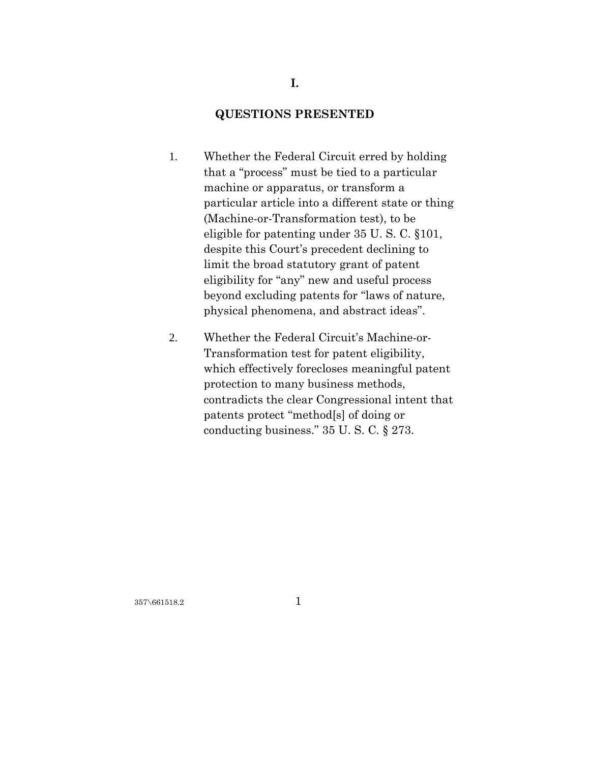## **QUESTIONS PRESENTED**

**I.** 

- 1. Whether the Federal Circuit erred by holding that a "process" must be tied to a particular machine or apparatus, or transform a particular article into a different state or thing (Machine-or-Transformation test), to be eligible for patenting under 35 U. S. C. §101, despite this Court's precedent declining to limit the broad statutory grant of patent eligibility for "any" new and useful process beyond excluding patents for "laws of nature, physical phenomena, and abstract ideas".
- 2. Whether the Federal Circuit's Machine-or-Transformation test for patent eligibility, which effectively forecloses meaningful patent protection to many business methods, contradicts the clear Congressional intent that patents protect "method[s] of doing or conducting business." 35 U. S. C. § 273.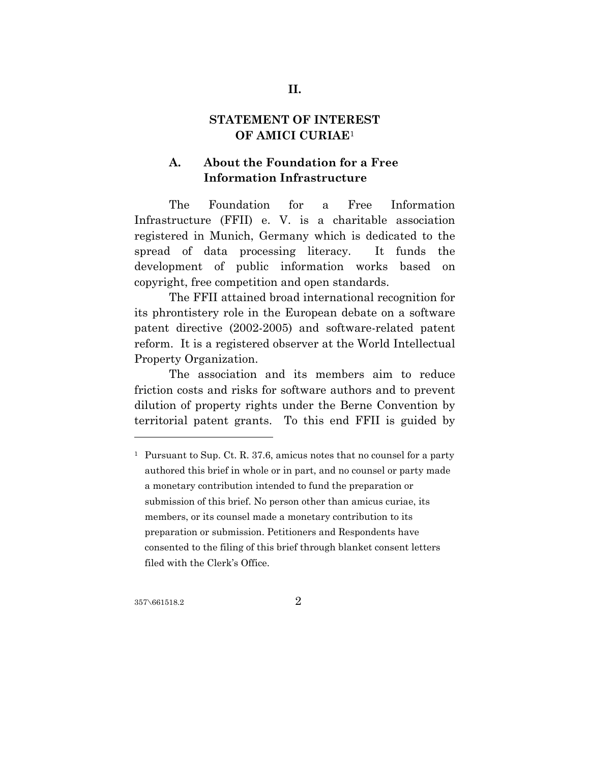### **STATEMENT OF INTEREST OF AMICI CURIAE**<sup>1</sup>

# **A. About the Foundation for a Free Information Infrastructure**

The Foundation for a Free Information Infrastructure (FFII) e. V. is a charitable association registered in Munich, Germany which is dedicated to the spread of data processing literacy. It funds the development of public information works based on copyright, free competition and open standards.

The FFII attained broad international recognition for its phrontistery role in the European debate on a software patent directive (2002-2005) and software-related patent reform. It is a registered observer at the World Intellectual Property Organization.

The association and its members aim to reduce friction costs and risks for software authors and to prevent dilution of property rights under the Berne Convention by territorial patent grants. To this end FFII is guided by

<sup>&</sup>lt;sup>1</sup> Pursuant to Sup. Ct. R. 37.6, amicus notes that no counsel for a party authored this brief in whole or in part, and no counsel or party made a monetary contribution intended to fund the preparation or submission of this brief. No person other than amicus curiae, its members, or its counsel made a monetary contribution to its preparation or submission. Petitioners and Respondents have consented to the filing of this brief through blanket consent letters filed with the Clerk's Office.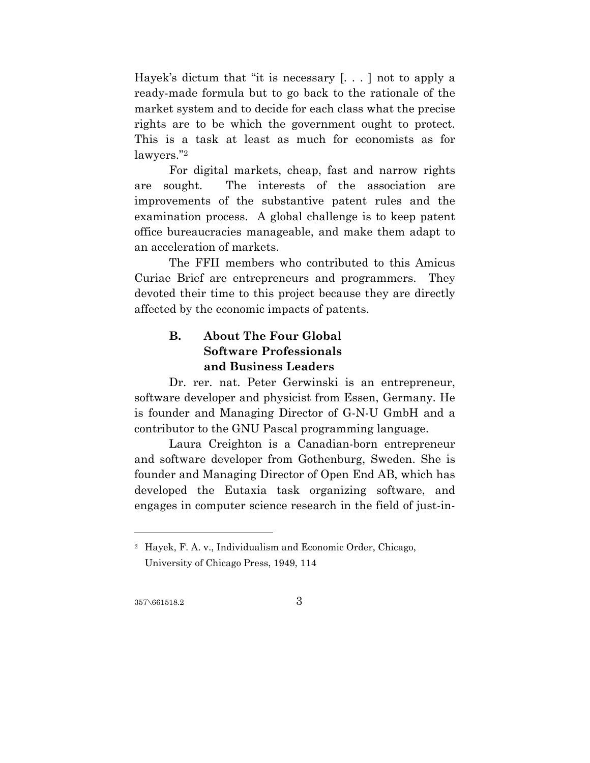Hayek's dictum that "it is necessary [. . . ] not to apply a ready-made formula but to go back to the rationale of the market system and to decide for each class what the precise rights are to be which the government ought to protect. This is a task at least as much for economists as for lawyers."2

For digital markets, cheap, fast and narrow rights are sought. The interests of the association are improvements of the substantive patent rules and the examination process. A global challenge is to keep patent office bureaucracies manageable, and make them adapt to an acceleration of markets.

The FFII members who contributed to this Amicus Curiae Brief are entrepreneurs and programmers. They devoted their time to this project because they are directly affected by the economic impacts of patents.

# **B. About The Four Global Software Professionals and Business Leaders**

Dr. rer. nat. Peter Gerwinski is an entrepreneur, software developer and physicist from Essen, Germany. He is founder and Managing Director of G-N-U GmbH and a contributor to the GNU Pascal programming language.

Laura Creighton is a Canadian-born entrepreneur and software developer from Gothenburg, Sweden. She is founder and Managing Director of Open End AB, which has developed the Eutaxia task organizing software, and engages in computer science research in the field of just-in-

357\661518.2 3

<sup>2</sup> Hayek, F. A. v., Individualism and Economic Order, Chicago, University of Chicago Press, 1949, 114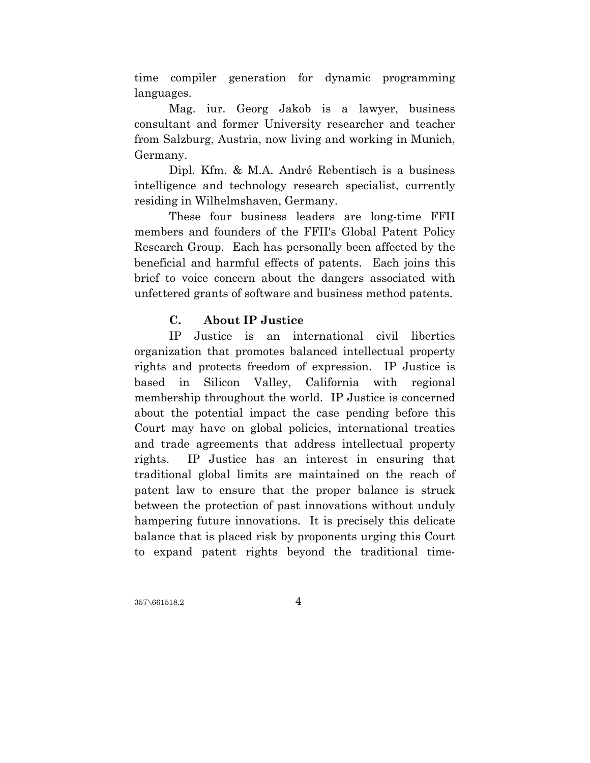time compiler generation for dynamic programming languages.

Mag. iur. Georg Jakob is a lawyer, business consultant and former University researcher and teacher from Salzburg, Austria, now living and working in Munich, Germany.

Dipl. Kfm. & M.A. André Rebentisch is a business intelligence and technology research specialist, currently residing in Wilhelmshaven, Germany.

These four business leaders are long-time FFII members and founders of the FFII's Global Patent Policy Research Group. Each has personally been affected by the beneficial and harmful effects of patents. Each joins this brief to voice concern about the dangers associated with unfettered grants of software and business method patents.

### **C. About IP Justice**

IP Justice is an international civil liberties organization that promotes balanced intellectual property rights and protects freedom of expression. IP Justice is based in Silicon Valley, California with regional membership throughout the world. IP Justice is concerned about the potential impact the case pending before this Court may have on global policies, international treaties and trade agreements that address intellectual property rights. IP Justice has an interest in ensuring that traditional global limits are maintained on the reach of patent law to ensure that the proper balance is struck between the protection of past innovations without unduly hampering future innovations. It is precisely this delicate balance that is placed risk by proponents urging this Court to expand patent rights beyond the traditional time-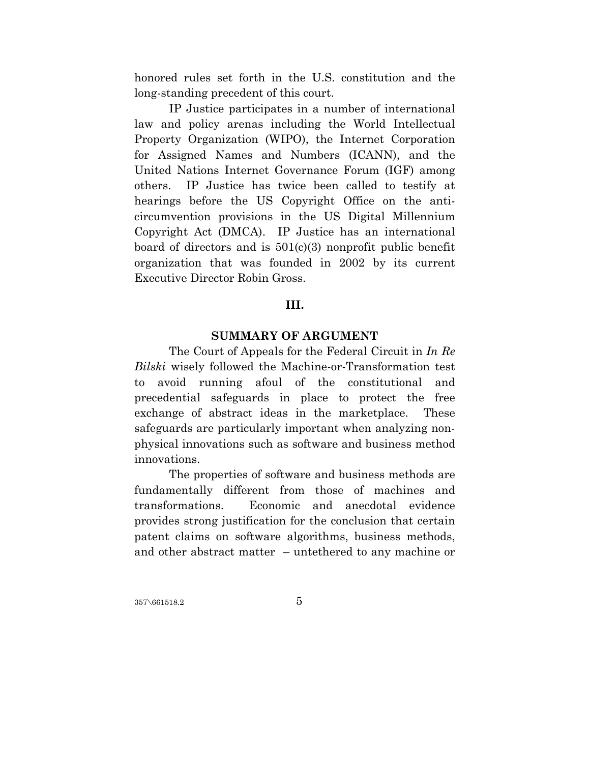honored rules set forth in the U.S. constitution and the long-standing precedent of this court.

IP Justice participates in a number of international law and policy arenas including the World Intellectual Property Organization (WIPO), the Internet Corporation for Assigned Names and Numbers (ICANN), and the United Nations Internet Governance Forum (IGF) among others. IP Justice has twice been called to testify at hearings before the US Copyright Office on the anticircumvention provisions in the US Digital Millennium Copyright Act (DMCA). IP Justice has an international board of directors and is 501(c)(3) nonprofit public benefit organization that was founded in 2002 by its current Executive Director Robin Gross.

#### **III.**

### **SUMMARY OF ARGUMENT**

The Court of Appeals for the Federal Circuit in *In Re Bilski* wisely followed the Machine-or-Transformation test to avoid running afoul of the constitutional and precedential safeguards in place to protect the free exchange of abstract ideas in the marketplace. These safeguards are particularly important when analyzing nonphysical innovations such as software and business method innovations.

The properties of software and business methods are fundamentally different from those of machines and transformations. Economic and anecdotal evidence provides strong justification for the conclusion that certain patent claims on software algorithms, business methods, and other abstract matter – untethered to any machine or

 $357\sqrt{661518.2}$  5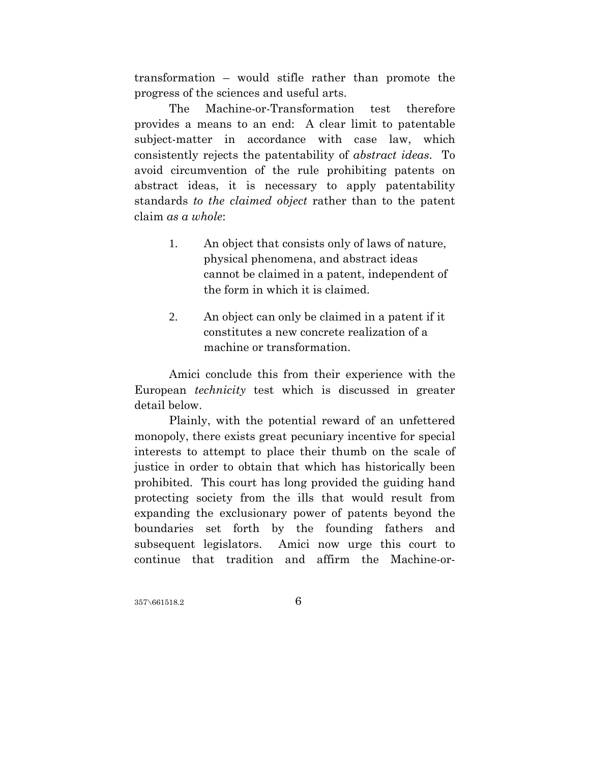transformation – would stifle rather than promote the progress of the sciences and useful arts.

The Machine-or-Transformation test therefore provides a means to an end: A clear limit to patentable subject-matter in accordance with case law, which consistently rejects the patentability of *abstract ideas*. To avoid circumvention of the rule prohibiting patents on abstract ideas, it is necessary to apply patentability standards *to the claimed object* rather than to the patent claim *as a whole*:

- 1. An object that consists only of laws of nature, physical phenomena, and abstract ideas cannot be claimed in a patent, independent of the form in which it is claimed.
- 2. An object can only be claimed in a patent if it constitutes a new concrete realization of a machine or transformation.

Amici conclude this from their experience with the European *technicity* test which is discussed in greater detail below.

Plainly, with the potential reward of an unfettered monopoly, there exists great pecuniary incentive for special interests to attempt to place their thumb on the scale of justice in order to obtain that which has historically been prohibited. This court has long provided the guiding hand protecting society from the ills that would result from expanding the exclusionary power of patents beyond the boundaries set forth by the founding fathers and subsequent legislators. Amici now urge this court to continue that tradition and affirm the Machine-or-

 $357\sqrt{661518.2}$  6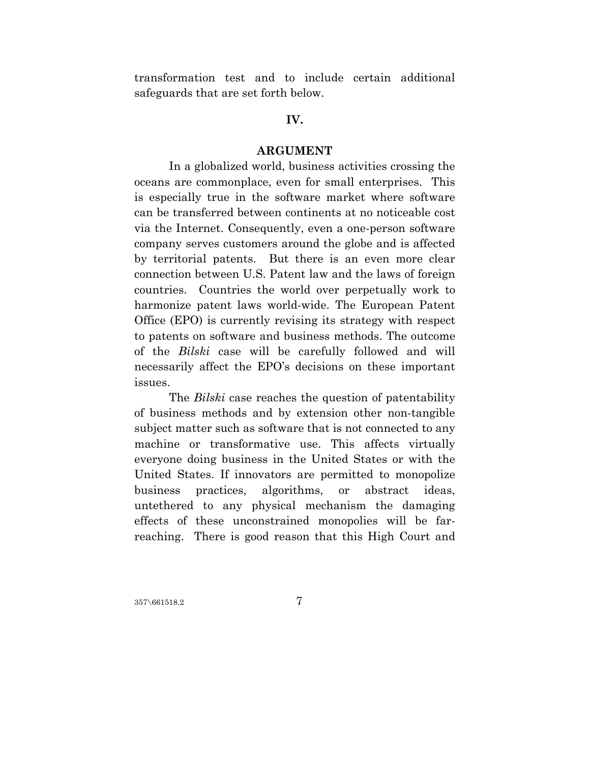transformation test and to include certain additional safeguards that are set forth below.

#### **IV.**

#### **ARGUMENT**

In a globalized world, business activities crossing the oceans are commonplace, even for small enterprises. This is especially true in the software market where software can be transferred between continents at no noticeable cost via the Internet. Consequently, even a one-person software company serves customers around the globe and is affected by territorial patents. But there is an even more clear connection between U.S. Patent law and the laws of foreign countries. Countries the world over perpetually work to harmonize patent laws world-wide. The European Patent Office (EPO) is currently revising its strategy with respect to patents on software and business methods. The outcome of the *Bilski* case will be carefully followed and will necessarily affect the EPO's decisions on these important issues.

The *Bilski* case reaches the question of patentability of business methods and by extension other non-tangible subject matter such as software that is not connected to any machine or transformative use. This affects virtually everyone doing business in the United States or with the United States. If innovators are permitted to monopolize business practices, algorithms, or abstract ideas, untethered to any physical mechanism the damaging effects of these unconstrained monopolies will be farreaching. There is good reason that this High Court and

 $357\backslash 661518.2$  7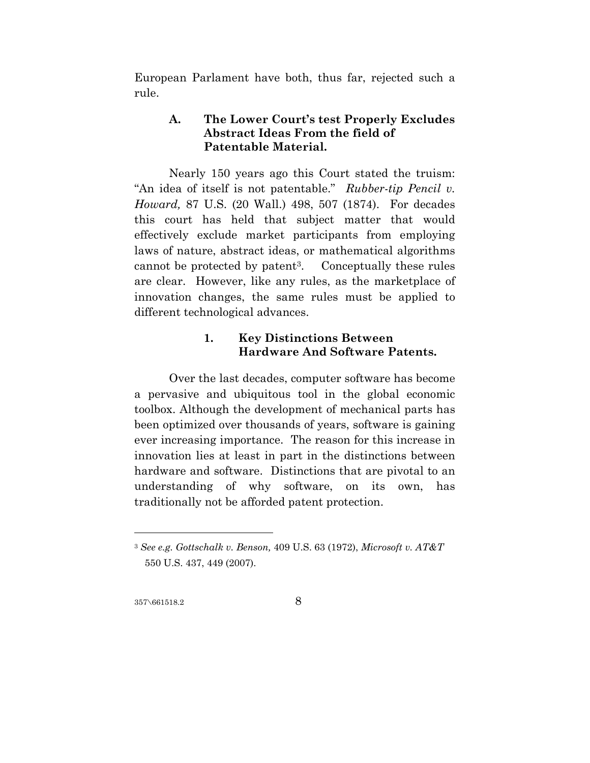European Parlament have both, thus far, rejected such a rule.

### **A. The Lower Court's test Properly Excludes Abstract Ideas From the field of Patentable Material.**

Nearly 150 years ago this Court stated the truism: "An idea of itself is not patentable." *Rubber-tip Pencil v. Howard,* 87 U.S. (20 Wall.) 498, 507 (1874).For decades this court has held that subject matter that would effectively exclude market participants from employing laws of nature, abstract ideas, or mathematical algorithms cannot be protected by patent3. Conceptually these rules are clear. However, like any rules, as the marketplace of innovation changes, the same rules must be applied to different technological advances.

### **1. Key Distinctions Between Hardware And Software Patents.**

Over the last decades, computer software has become a pervasive and ubiquitous tool in the global economic toolbox. Although the development of mechanical parts has been optimized over thousands of years, software is gaining ever increasing importance. The reason for this increase in innovation lies at least in part in the distinctions between hardware and software. Distinctions that are pivotal to an understanding of why software, on its own, has traditionally not be afforded patent protection.

357\661518.2 8

<sup>3</sup> *See e.g. Gottschalk v. Benson,* 409 U.S. 63 (1972), *Microsoft v. AT&T*  550 U.S. 437, 449 (2007).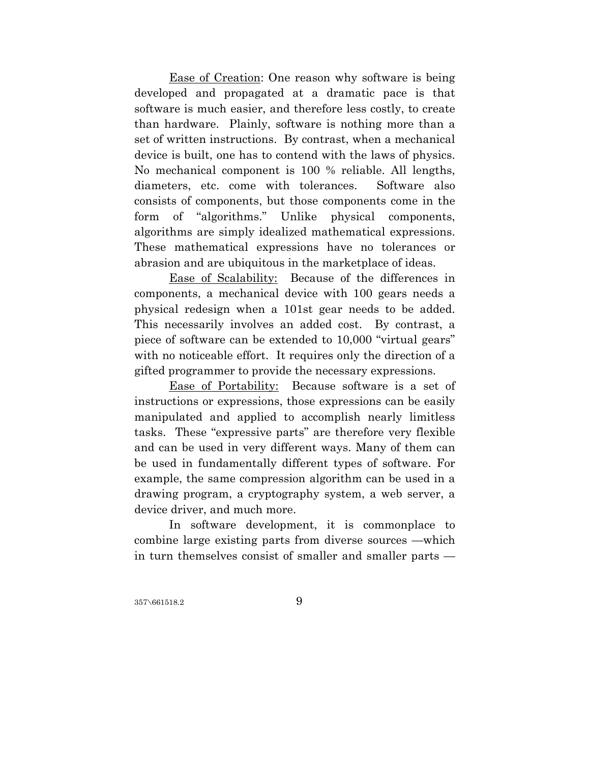Ease of Creation: One reason why software is being developed and propagated at a dramatic pace is that software is much easier, and therefore less costly, to create than hardware. Plainly, software is nothing more than a set of written instructions. By contrast, when a mechanical device is built, one has to contend with the laws of physics. No mechanical component is 100 % reliable. All lengths, diameters, etc. come with tolerances. Software also consists of components, but those components come in the form of "algorithms." Unlike physical components, algorithms are simply idealized mathematical expressions. These mathematical expressions have no tolerances or abrasion and are ubiquitous in the marketplace of ideas.

Ease of Scalability: Because of the differences in components, a mechanical device with 100 gears needs a physical redesign when a 101st gear needs to be added. This necessarily involves an added cost. By contrast, a piece of software can be extended to 10,000 "virtual gears" with no noticeable effort. It requires only the direction of a gifted programmer to provide the necessary expressions.

Ease of Portability: Because software is a set of instructions or expressions, those expressions can be easily manipulated and applied to accomplish nearly limitless tasks. These "expressive parts" are therefore very flexible and can be used in very different ways. Many of them can be used in fundamentally different types of software. For example, the same compression algorithm can be used in a drawing program, a cryptography system, a web server, a device driver, and much more.

In software development, it is commonplace to combine large existing parts from diverse sources —which in turn themselves consist of smaller and smaller parts —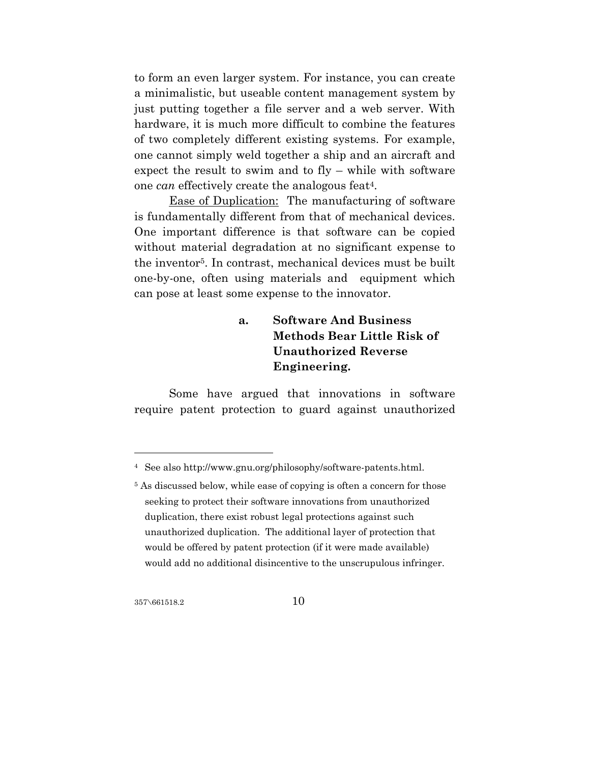to form an even larger system. For instance, you can create a minimalistic, but useable content management system by just putting together a file server and a web server. With hardware, it is much more difficult to combine the features of two completely different existing systems. For example, one cannot simply weld together a ship and an aircraft and expect the result to swim and to fly – while with software one *can* effectively create the analogous feat4.

Ease of Duplication: The manufacturing of software is fundamentally different from that of mechanical devices. One important difference is that software can be copied without material degradation at no significant expense to the inventor5. In contrast, mechanical devices must be built one-by-one, often using materials and equipment which can pose at least some expense to the innovator.

# **a. Software And Business Methods Bear Little Risk of Unauthorized Reverse Engineering.**

Some have argued that innovations in software require patent protection to guard against unauthorized

 $357\sqrt{661518.2}$  10

<sup>4</sup> See also http://www.gnu.org/philosophy/software-patents.html.

<sup>&</sup>lt;sup>5</sup> As discussed below, while ease of copying is often a concern for those seeking to protect their software innovations from unauthorized duplication, there exist robust legal protections against such unauthorized duplication. The additional layer of protection that would be offered by patent protection (if it were made available) would add no additional disincentive to the unscrupulous infringer.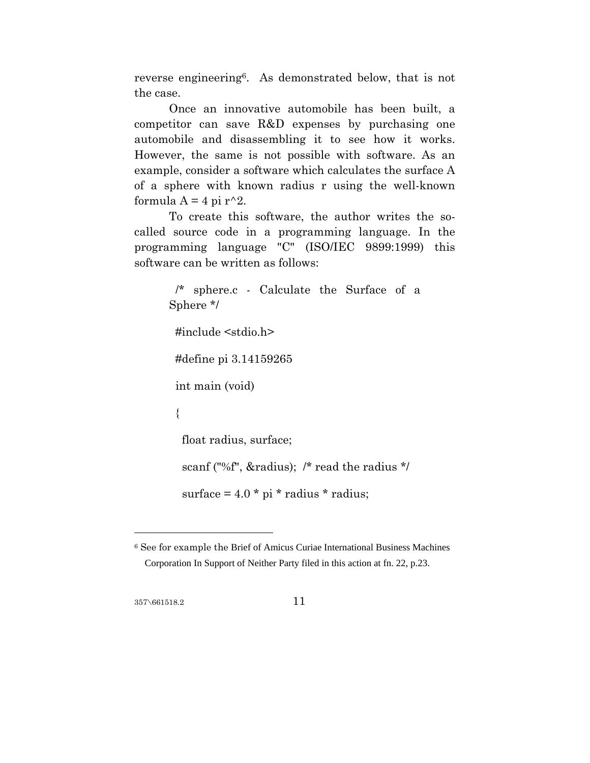reverse engineering6. As demonstrated below, that is not the case.

Once an innovative automobile has been built, a competitor can save R&D expenses by purchasing one automobile and disassembling it to see how it works. However, the same is not possible with software. As an example, consider a software which calculates the surface A of a sphere with known radius r using the well-known formula  $A = 4$  pi  $r^2$ .

To create this software, the author writes the socalled source code in a programming language. In the programming language "C" (ISO/IEC 9899:1999) this software can be written as follows:

```
 /* sphere.c - Calculate the Surface of a 
Sphere */ 
  #include <stdio.h> 
  #define pi 3.14159265 
  int main (void) 
  { 
   float radius, surface; 
   scanf ("%f", &radius); /* read the radius */ 
  surface = 4.0 * pi * radius * radius;
```
357\661518.2 11

<sup>6</sup> See for example the Brief of Amicus Curiae International Business Machines Corporation In Support of Neither Party filed in this action at fn. 22, p.23.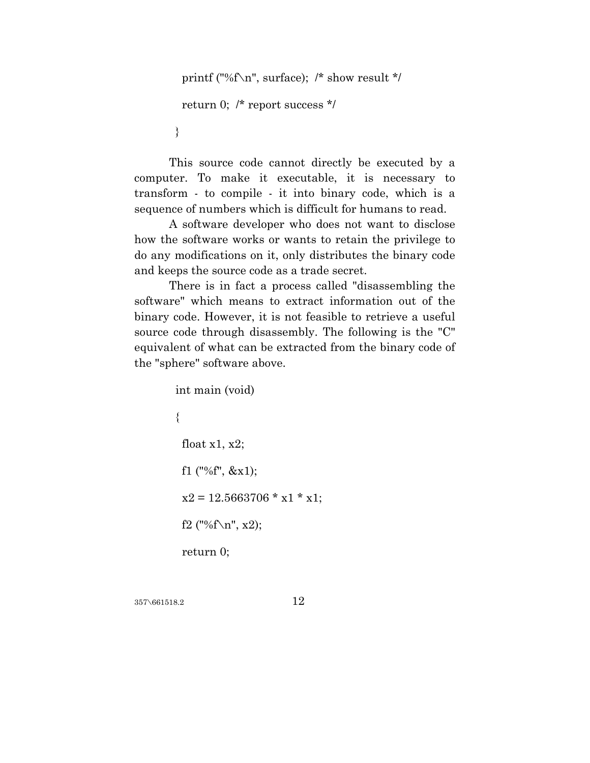```
 printf ("%f\n", surface); /* show result */ 
  return 0; /* report success */ 
 }
```
This source code cannot directly be executed by a computer. To make it executable, it is necessary to transform - to compile - it into binary code, which is a sequence of numbers which is difficult for humans to read.

A software developer who does not want to disclose how the software works or wants to retain the privilege to do any modifications on it, only distributes the binary code and keeps the source code as a trade secret.

There is in fact a process called "disassembling the software" which means to extract information out of the binary code. However, it is not feasible to retrieve a useful source code through disassembly. The following is the "C" equivalent of what can be extracted from the binary code of the "sphere" software above.

```
 int main (void) 
 { 
  float x1, x2; 
  f1 ("%f", &x1); 
 x2 = 12.5663706 * x1 * x1;f2 ("%f\n", x2);
  return 0;
```

$$
\,12
$$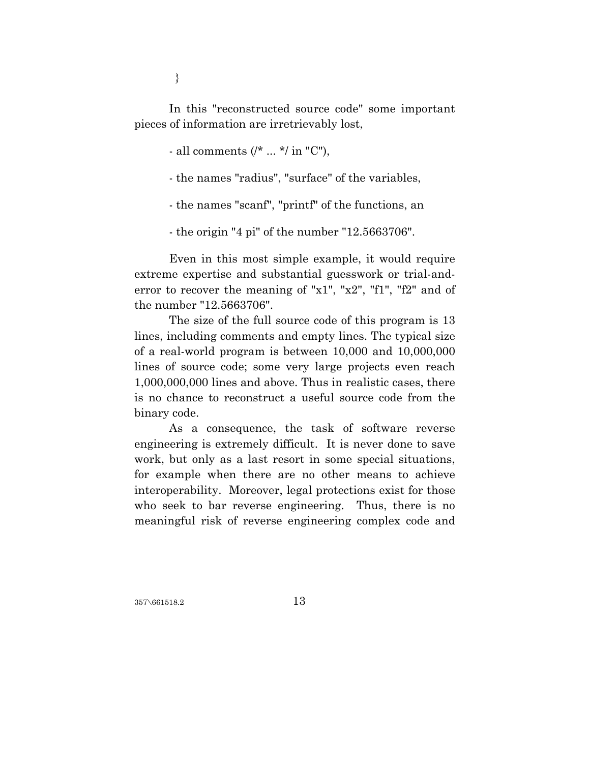}

In this "reconstructed source code" some important pieces of information are irretrievably lost,

- all comments (/\* ... \*/ in "C"),

- the names "radius", "surface" of the variables,

- the names "scanf", "printf" of the functions, an

- the origin "4 pi" of the number "12.5663706".

Even in this most simple example, it would require extreme expertise and substantial guesswork or trial-anderror to recover the meaning of "x1", "x2", "f1", "f2" and of the number "12.5663706".

The size of the full source code of this program is 13 lines, including comments and empty lines. The typical size of a real-world program is between 10,000 and 10,000,000 lines of source code; some very large projects even reach 1,000,000,000 lines and above. Thus in realistic cases, there is no chance to reconstruct a useful source code from the binary code.

As a consequence, the task of software reverse engineering is extremely difficult. It is never done to save work, but only as a last resort in some special situations, for example when there are no other means to achieve interoperability. Moreover, legal protections exist for those who seek to bar reverse engineering. Thus, there is no meaningful risk of reverse engineering complex code and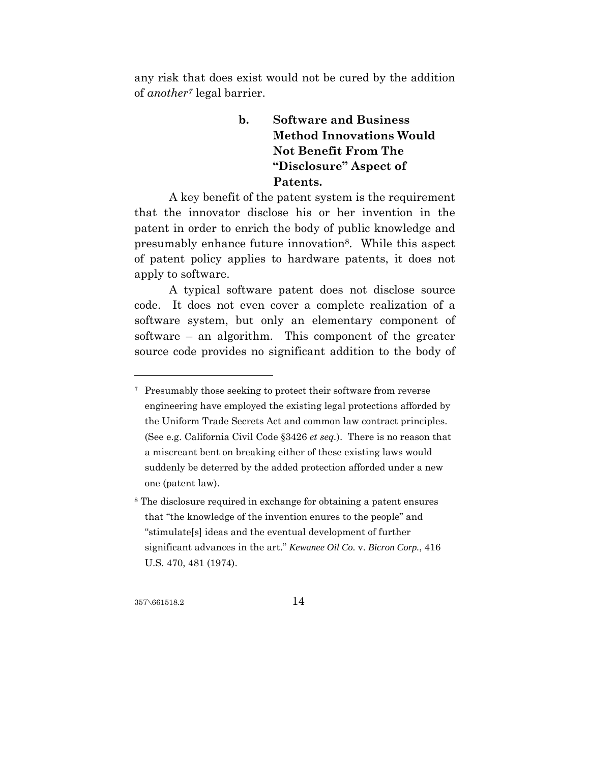any risk that does exist would not be cured by the addition of *another7* legal barrier.

# **b. Software and Business Method Innovations Would Not Benefit From The "Disclosure" Aspect of Patents.**

A key benefit of the patent system is the requirement that the innovator disclose his or her invention in the patent in order to enrich the body of public knowledge and presumably enhance future innovation8. While this aspect of patent policy applies to hardware patents, it does not apply to software.

A typical software patent does not disclose source code. It does not even cover a complete realization of a software system, but only an elementary component of software – an algorithm. This component of the greater source code provides no significant addition to the body of

 $357\sqrt{661518.2}$  14

<sup>7</sup> Presumably those seeking to protect their software from reverse engineering have employed the existing legal protections afforded by the Uniform Trade Secrets Act and common law contract principles. (See e.g. California Civil Code §3426 *et seq.*). There is no reason that a miscreant bent on breaking either of these existing laws would suddenly be deterred by the added protection afforded under a new one (patent law).

<sup>8</sup> The disclosure required in exchange for obtaining a patent ensures that "the knowledge of the invention enures to the people" and "stimulate[s] ideas and the eventual development of further significant advances in the art." *Kewanee Oil Co.* v. *Bicron Corp.*, 416 U.S. 470, 481 (1974).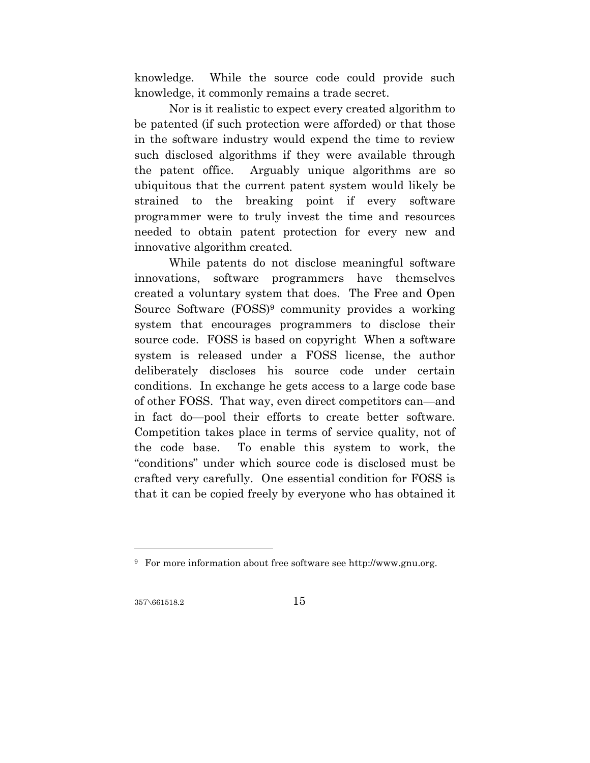knowledge. While the source code could provide such knowledge, it commonly remains a trade secret.

Nor is it realistic to expect every created algorithm to be patented (if such protection were afforded) or that those in the software industry would expend the time to review such disclosed algorithms if they were available through the patent office. Arguably unique algorithms are so ubiquitous that the current patent system would likely be strained to the breaking point if every software programmer were to truly invest the time and resources needed to obtain patent protection for every new and innovative algorithm created.

While patents do not disclose meaningful software innovations, software programmers have themselves created a voluntary system that does. The Free and Open Source Software (FOSS)9 community provides a working system that encourages programmers to disclose their source code. FOSS is based on copyright When a software system is released under a FOSS license, the author deliberately discloses his source code under certain conditions. In exchange he gets access to a large code base of other FOSS. That way, even direct competitors can—and in fact do—pool their efforts to create better software. Competition takes place in terms of service quality, not of the code base. To enable this system to work, the "conditions" under which source code is disclosed must be crafted very carefully. One essential condition for FOSS is that it can be copied freely by everyone who has obtained it

 $357\sqrt{661518.2}$  15

<sup>9</sup> For more information about free software see http://www.gnu.org.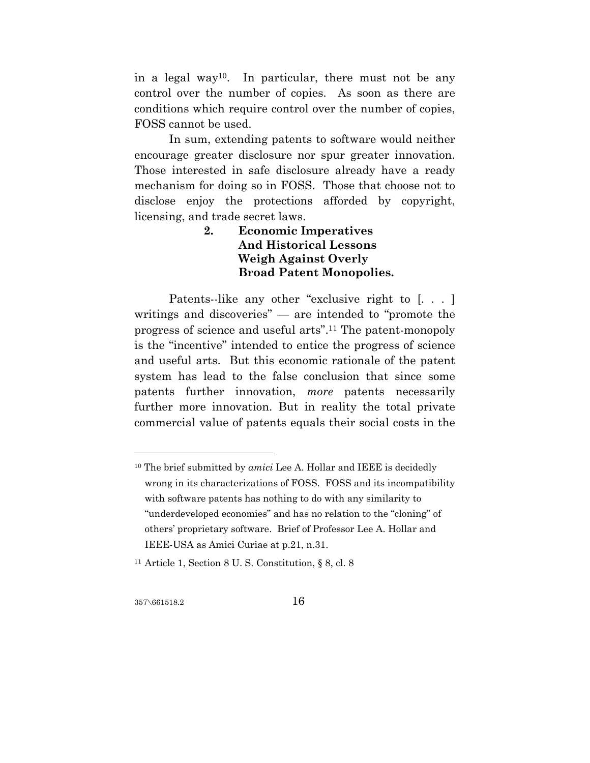in a legal way10. In particular, there must not be any control over the number of copies. As soon as there are conditions which require control over the number of copies, FOSS cannot be used.

In sum, extending patents to software would neither encourage greater disclosure nor spur greater innovation. Those interested in safe disclosure already have a ready mechanism for doing so in FOSS. Those that choose not to disclose enjoy the protections afforded by copyright, licensing, and trade secret laws.

## **2. Economic Imperatives And Historical Lessons Weigh Against Overly Broad Patent Monopolies.**

Patents--like any other "exclusive right to [...] writings and discoveries" — are intended to "promote the progress of science and useful arts".11 The patent-monopoly is the "incentive" intended to entice the progress of science and useful arts. But this economic rationale of the patent system has lead to the false conclusion that since some patents further innovation, *more* patents necessarily further more innovation. But in reality the total private commercial value of patents equals their social costs in the

357\661518.2 16

<sup>10</sup> The brief submitted by *amici* Lee A. Hollar and IEEE is decidedly wrong in its characterizations of FOSS. FOSS and its incompatibility with software patents has nothing to do with any similarity to "underdeveloped economies" and has no relation to the "cloning" of others' proprietary software. Brief of Professor Lee A. Hollar and IEEE-USA as Amici Curiae at p.21, n.31.

<sup>11</sup> Article 1, Section 8 U. S. Constitution, § 8, cl. 8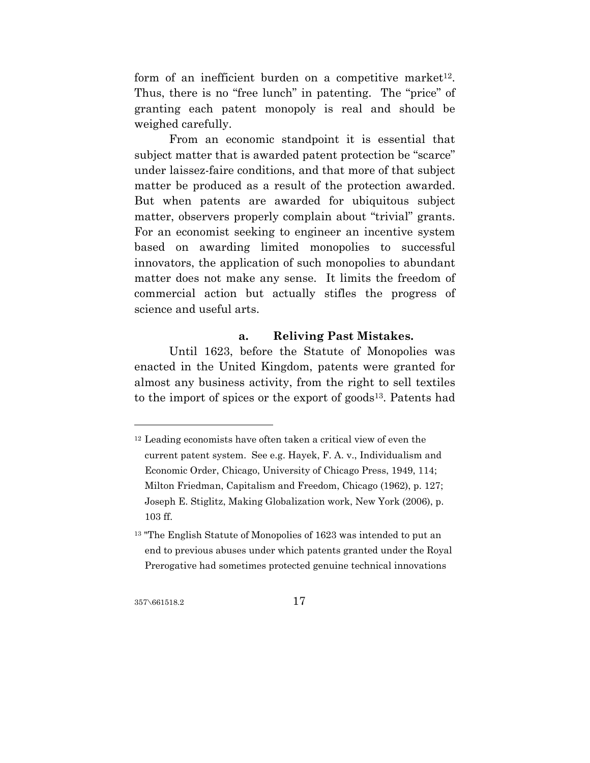form of an inefficient burden on a competitive market<sup>12</sup>. Thus, there is no "free lunch" in patenting. The "price" of granting each patent monopoly is real and should be weighed carefully.

From an economic standpoint it is essential that subject matter that is awarded patent protection be "scarce" under laissez-faire conditions, and that more of that subject matter be produced as a result of the protection awarded. But when patents are awarded for ubiquitous subject matter, observers properly complain about "trivial" grants. For an economist seeking to engineer an incentive system based on awarding limited monopolies to successful innovators, the application of such monopolies to abundant matter does not make any sense. It limits the freedom of commercial action but actually stifles the progress of science and useful arts.

### **a. Reliving Past Mistakes.**

Until 1623, before the Statute of Monopolies was enacted in the United Kingdom, patents were granted for almost any business activity, from the right to sell textiles to the import of spices or the export of goods13. Patents had

357\661518.2 17

<sup>12</sup> Leading economists have often taken a critical view of even the current patent system. See e.g. Hayek, F. A. v., Individualism and Economic Order, Chicago, University of Chicago Press, 1949, 114; Milton Friedman, Capitalism and Freedom, Chicago (1962), p. 127; Joseph E. Stiglitz, Making Globalization work, New York (2006), p. 103 ff.

<sup>&</sup>lt;sup>13</sup> "The English Statute of Monopolies of 1623 was intended to put an end to previous abuses under which patents granted under the Royal Prerogative had sometimes protected genuine technical innovations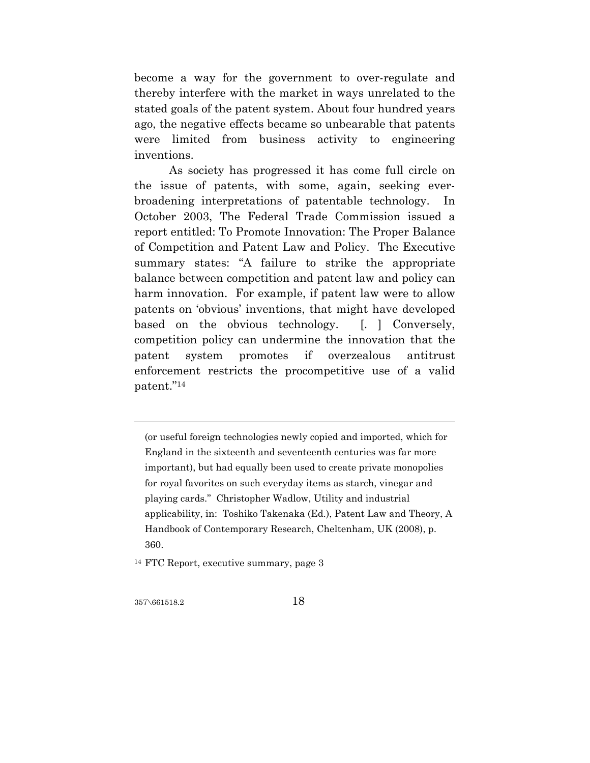become a way for the government to over-regulate and thereby interfere with the market in ways unrelated to the stated goals of the patent system. About four hundred years ago, the negative effects became so unbearable that patents were limited from business activity to engineering inventions.

As society has progressed it has come full circle on the issue of patents, with some, again, seeking everbroadening interpretations of patentable technology. In October 2003, The Federal Trade Commission issued a report entitled: To Promote Innovation: The Proper Balance of Competition and Patent Law and Policy. The Executive summary states: "A failure to strike the appropriate balance between competition and patent law and policy can harm innovation. For example, if patent law were to allow patents on 'obvious' inventions, that might have developed based on the obvious technology. [1] Conversely, competition policy can undermine the innovation that the patent system promotes if overzealous antitrust enforcement restricts the procompetitive use of a valid patent."14

(or useful foreign technologies newly copied and imported, which for England in the sixteenth and seventeenth centuries was far more important), but had equally been used to create private monopolies for royal favorites on such everyday items as starch, vinegar and playing cards." Christopher Wadlow, Utility and industrial applicability, in: Toshiko Takenaka (Ed.), Patent Law and Theory, A Handbook of Contemporary Research, Cheltenham, UK (2008), p. 360.

14 FTC Report, executive summary, page 3

357\661518.2 18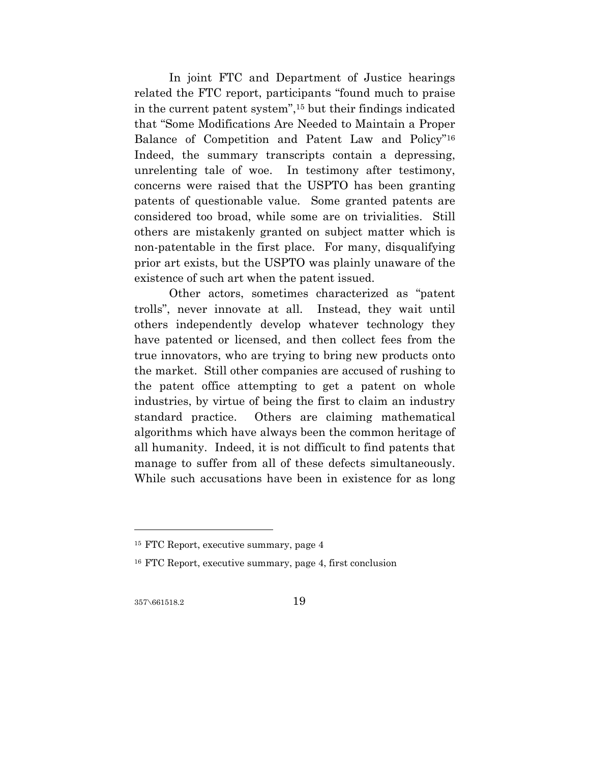In joint FTC and Department of Justice hearings related the FTC report, participants "found much to praise in the current patent system",15 but their findings indicated that "Some Modifications Are Needed to Maintain a Proper Balance of Competition and Patent Law and Policy"16 Indeed, the summary transcripts contain a depressing, unrelenting tale of woe. In testimony after testimony, concerns were raised that the USPTO has been granting patents of questionable value. Some granted patents are considered too broad, while some are on trivialities. Still others are mistakenly granted on subject matter which is non-patentable in the first place. For many, disqualifying prior art exists, but the USPTO was plainly unaware of the existence of such art when the patent issued.

Other actors, sometimes characterized as "patent trolls", never innovate at all. Instead, they wait until others independently develop whatever technology they have patented or licensed, and then collect fees from the true innovators, who are trying to bring new products onto the market. Still other companies are accused of rushing to the patent office attempting to get a patent on whole industries, by virtue of being the first to claim an industry standard practice. Others are claiming mathematical algorithms which have always been the common heritage of all humanity. Indeed, it is not difficult to find patents that manage to suffer from all of these defects simultaneously. While such accusations have been in existence for as long

357\661518.2 19

<sup>15</sup> FTC Report, executive summary, page 4

<sup>16</sup> FTC Report, executive summary, page 4, first conclusion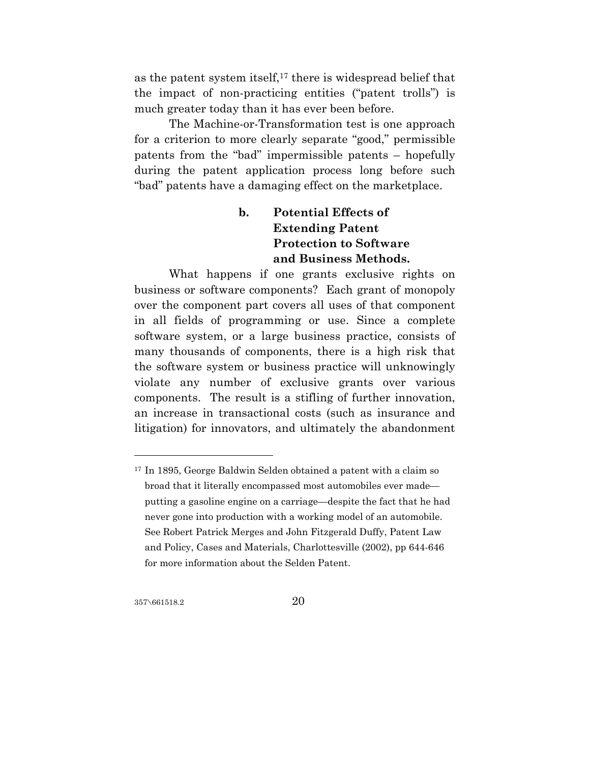as the patent system itself,17 there is widespread belief that the impact of non-practicing entities ("patent trolls") is much greater today than it has ever been before.

The Machine-or-Transformation test is one approach for a criterion to more clearly separate "good," permissible patents from the "bad" impermissible patents – hopefully during the patent application process long before such "bad" patents have a damaging effect on the marketplace.

# **b. Potential Effects of Extending Patent Protection to Software and Business Methods.**

What happens if one grants exclusive rights on business or software components? Each grant of monopoly over the component part covers all uses of that component in all fields of programming or use. Since a complete software system, or a large business practice, consists of many thousands of components, there is a high risk that the software system or business practice will unknowingly violate any number of exclusive grants over various components. The result is a stifling of further innovation, an increase in transactional costs (such as insurance and litigation) for innovators, and ultimately the abandonment

357\661518.2 20

<sup>17</sup> In 1895, George Baldwin Selden obtained a patent with a claim so broad that it literally encompassed most automobiles ever made putting a gasoline engine on a carriage—despite the fact that he had never gone into production with a working model of an automobile. See Robert Patrick Merges and John Fitzgerald Duffy, Patent Law and Policy, Cases and Materials, Charlottesville (2002), pp 644-646 for more information about the Selden Patent.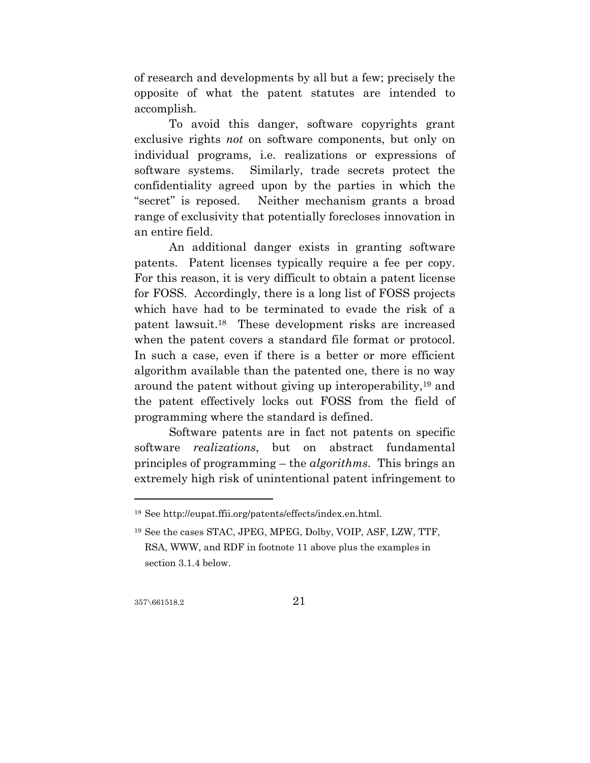of research and developments by all but a few; precisely the opposite of what the patent statutes are intended to accomplish.

To avoid this danger, software copyrights grant exclusive rights *not* on software components, but only on individual programs, i.e. realizations or expressions of software systems. Similarly, trade secrets protect the confidentiality agreed upon by the parties in which the "secret" is reposed. Neither mechanism grants a broad range of exclusivity that potentially forecloses innovation in an entire field.

An additional danger exists in granting software patents. Patent licenses typically require a fee per copy. For this reason, it is very difficult to obtain a patent license for FOSS. Accordingly, there is a long list of FOSS projects which have had to be terminated to evade the risk of a patent lawsuit.18 These development risks are increased when the patent covers a standard file format or protocol. In such a case, even if there is a better or more efficient algorithm available than the patented one, there is no way around the patent without giving up interoperability,19 and the patent effectively locks out FOSS from the field of programming where the standard is defined.

Software patents are in fact not patents on specific software *realizations*, but on abstract fundamental principles of programming – the *algorithms*. This brings an extremely high risk of unintentional patent infringement to

357\661518.2 21

 $^{18}$  See http://eupat.ffii.org/patents/effects/index.en.html.

<sup>19</sup> See the cases STAC, JPEG, MPEG, Dolby, VOIP, ASF, LZW, TTF, RSA, WWW, and RDF in footnote 11 above plus the examples in section 3.1.4 below.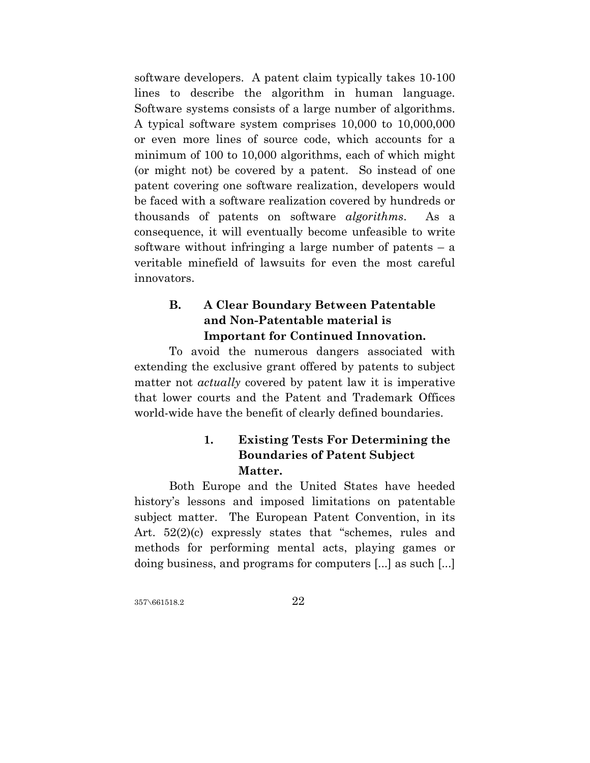software developers. A patent claim typically takes 10-100 lines to describe the algorithm in human language. Software systems consists of a large number of algorithms. A typical software system comprises 10,000 to 10,000,000 or even more lines of source code, which accounts for a minimum of 100 to 10,000 algorithms, each of which might (or might not) be covered by a patent. So instead of one patent covering one software realization, developers would be faced with a software realization covered by hundreds or thousands of patents on software *algorithms*. As a consequence, it will eventually become unfeasible to write software without infringing a large number of patents  $-$  a veritable minefield of lawsuits for even the most careful innovators.

# **B. A Clear Boundary Between Patentable and Non-Patentable material is Important for Continued Innovation.**

To avoid the numerous dangers associated with extending the exclusive grant offered by patents to subject matter not *actually* covered by patent law it is imperative that lower courts and the Patent and Trademark Offices world-wide have the benefit of clearly defined boundaries.

# **1. Existing Tests For Determining the Boundaries of Patent Subject Matter.**

Both Europe and the United States have heeded history's lessons and imposed limitations on patentable subject matter. The European Patent Convention, in its Art. 52(2)(c) expressly states that "schemes, rules and methods for performing mental acts, playing games or doing business, and programs for computers [...] as such [...]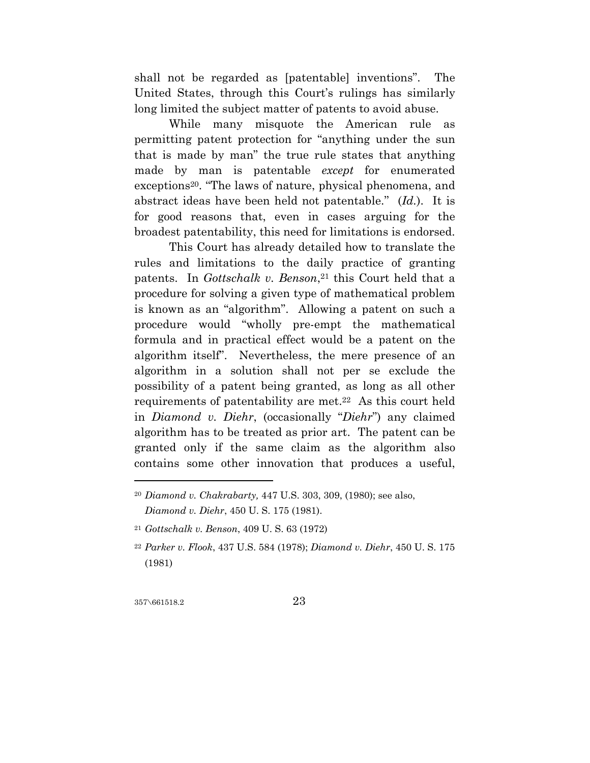shall not be regarded as [patentable] inventions". The United States, through this Court's rulings has similarly long limited the subject matter of patents to avoid abuse.

While many misquote the American rule as permitting patent protection for "anything under the sun that is made by man" the true rule states that anything made by man is patentable *except* for enumerated exceptions<sup>20</sup>. "The laws of nature, physical phenomena, and abstract ideas have been held not patentable.'' (*Id.*). It is for good reasons that, even in cases arguing for the broadest patentability, this need for limitations is endorsed.

This Court has already detailed how to translate the rules and limitations to the daily practice of granting patents. In *Gottschalk v. Benson*<sup>21</sup> this Court held that a procedure for solving a given type of mathematical problem is known as an "algorithm". Allowing a patent on such a procedure would "wholly pre-empt the mathematical formula and in practical effect would be a patent on the algorithm itself". Nevertheless, the mere presence of an algorithm in a solution shall not per se exclude the possibility of a patent being granted, as long as all other requirements of patentability are met.22 As this court held in *Diamond v. Diehr*, (occasionally "*Diehr*") any claimed algorithm has to be treated as prior art. The patent can be granted only if the same claim as the algorithm also contains some other innovation that produces a useful,

357\661518.2 23

<sup>20</sup> *Diamond v. Chakrabarty,* 447 U.S. 303, 309, (1980); see also, *Diamond v. Diehr*, 450 U. S. 175 (1981).

<sup>21</sup> *Gottschalk v. Benson*, 409 U. S. 63 (1972)

<sup>22</sup> *Parker v. Flook*, 437 U.S. 584 (1978); *Diamond v. Diehr*, 450 U. S. 175 (1981)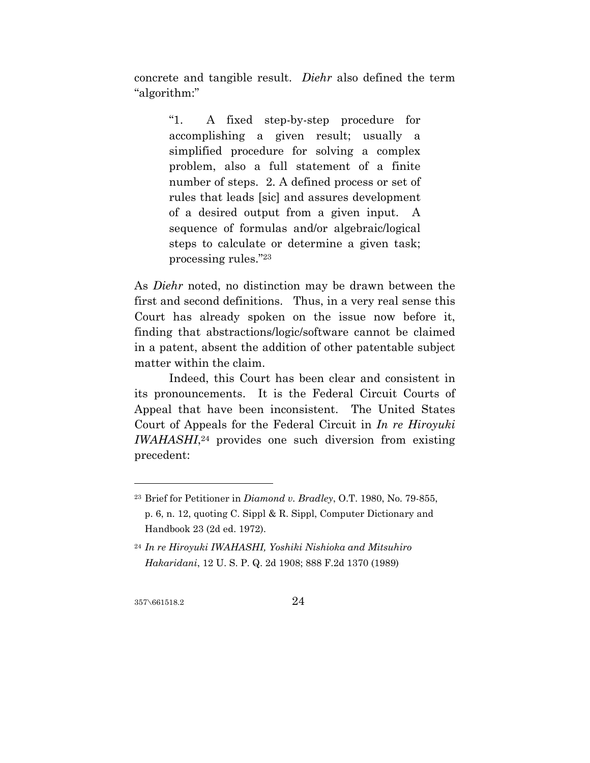concrete and tangible result. *Diehr* also defined the term "algorithm:"

> "1. A fixed step-by-step procedure for accomplishing a given result; usually a simplified procedure for solving a complex problem, also a full statement of a finite number of steps. 2. A defined process or set of rules that leads [sic] and assures development of a desired output from a given input. A sequence of formulas and/or algebraic/logical steps to calculate or determine a given task; processing rules."23

As *Diehr* noted, no distinction may be drawn between the first and second definitions. Thus, in a very real sense this Court has already spoken on the issue now before it, finding that abstractions/logic/software cannot be claimed in a patent, absent the addition of other patentable subject matter within the claim.

Indeed, this Court has been clear and consistent in its pronouncements. It is the Federal Circuit Courts of Appeal that have been inconsistent. The United States Court of Appeals for the Federal Circuit in *In re Hiroyuki IWAHASHI*,24 provides one such diversion from existing precedent:

357\661518.2 24

<sup>23</sup> Brief for Petitioner in *Diamond v. Bradley*, O.T. 1980, No. 79-855, p. 6, n. 12, quoting C. Sippl & R. Sippl, Computer Dictionary and Handbook 23 (2d ed. 1972).

<sup>24</sup> *In re Hiroyuki IWAHASHI, Yoshiki Nishioka and Mitsuhiro Hakaridani*, 12 U. S. P. Q. 2d 1908; 888 F.2d 1370 (1989)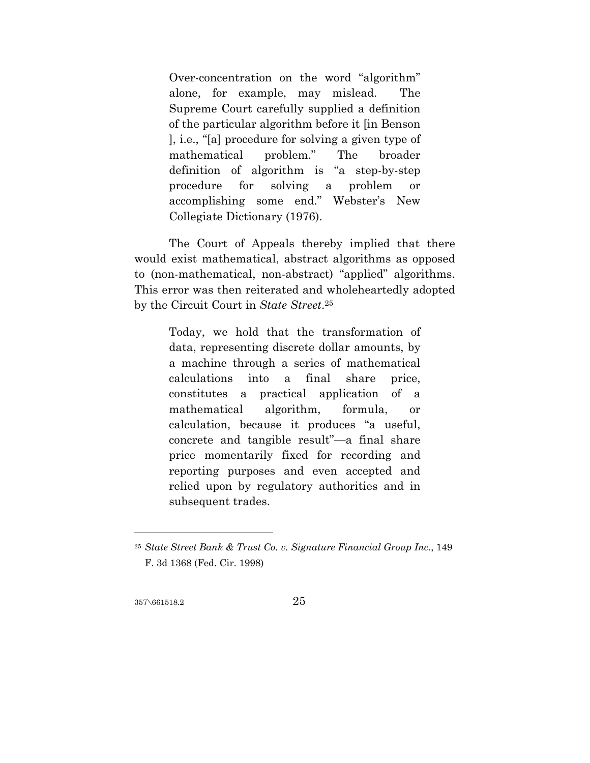Over-concentration on the word "algorithm" alone, for example, may mislead. The Supreme Court carefully supplied a definition of the particular algorithm before it [in Benson ], i.e., "[a] procedure for solving a given type of mathematical problem." The broader definition of algorithm is "a step-by-step procedure for solving a problem or accomplishing some end." Webster's New Collegiate Dictionary (1976).

The Court of Appeals thereby implied that there would exist mathematical, abstract algorithms as opposed to (non-mathematical, non-abstract) "applied" algorithms. This error was then reiterated and wholeheartedly adopted by the Circuit Court in *State Street*.25

> Today, we hold that the transformation of data, representing discrete dollar amounts, by a machine through a series of mathematical calculations into a final share price, constitutes a practical application of a mathematical algorithm, formula, or calculation, because it produces "a useful, concrete and tangible result"—a final share price momentarily fixed for recording and reporting purposes and even accepted and relied upon by regulatory authorities and in subsequent trades.

357\661518.2 25

<sup>25</sup> *State Street Bank & Trust Co. v. Signature Financial Group Inc.*, 149 F. 3d 1368 (Fed. Cir. 1998)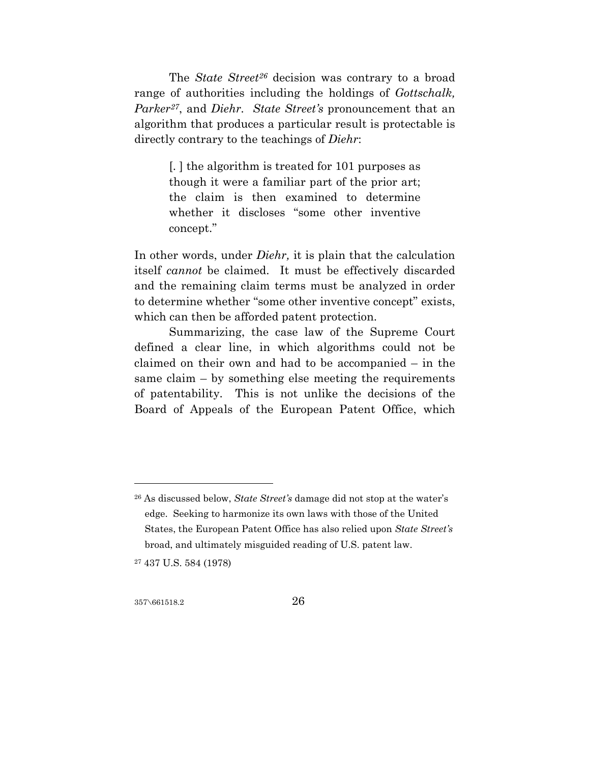The *State Street26* decision was contrary to a broad range of authorities including the holdings of *Gottschalk, Parker27*, and *Diehr. State Street's* pronouncement that an algorithm that produces a particular result is protectable is directly contrary to the teachings of *Diehr*:

> [. ] the algorithm is treated for 101 purposes as though it were a familiar part of the prior art; the claim is then examined to determine whether it discloses "some other inventive concept."

In other words, under *Diehr,* it is plain that the calculation itself *cannot* be claimed. It must be effectively discarded and the remaining claim terms must be analyzed in order to determine whether "some other inventive concept" exists, which can then be afforded patent protection.

Summarizing, the case law of the Supreme Court defined a clear line, in which algorithms could not be claimed on their own and had to be accompanied – in the same claim – by something else meeting the requirements of patentability. This is not unlike the decisions of the Board of Appeals of the European Patent Office, which

27 437 U.S. 584 (1978)

357\661518.2 26

<sup>26</sup> As discussed below, *State Street's* damage did not stop at the water's edge. Seeking to harmonize its own laws with those of the United States, the European Patent Office has also relied upon *State Street's*  broad, and ultimately misguided reading of U.S. patent law.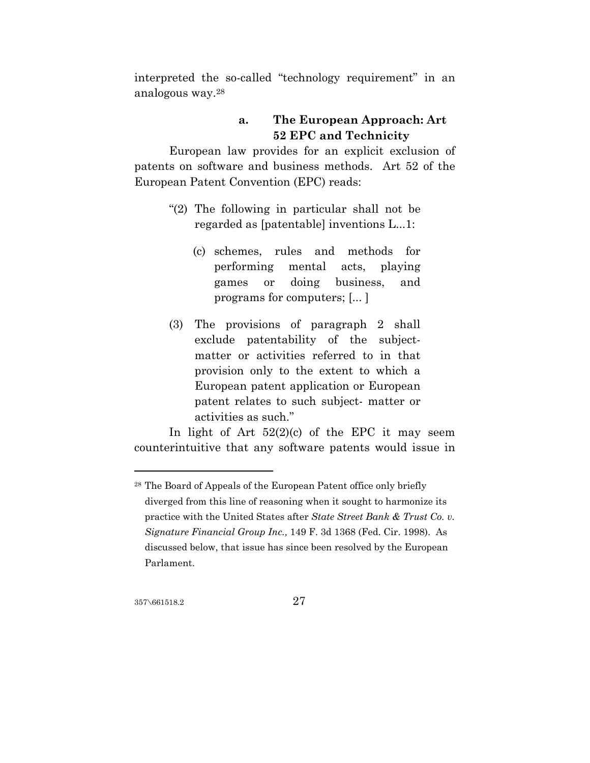interpreted the so-called "technology requirement" in an analogous way.28

### **a. The European Approach: Art 52 EPC and Technicity**

European law provides for an explicit exclusion of patents on software and business methods. Art 52 of the European Patent Convention (EPC) reads:

- "(2) The following in particular shall not be regarded as [patentable] inventions L...1:
	- (c) schemes, rules and methods for performing mental acts, playing games or doing business, and programs for computers; [... ]
- (3) The provisions of paragraph 2 shall exclude patentability of the subjectmatter or activities referred to in that provision only to the extent to which a European patent application or European patent relates to such subject- matter or activities as such."

In light of Art  $52(2)(c)$  of the EPC it may seem counterintuitive that any software patents would issue in

357\661518.2 27

<sup>28</sup> The Board of Appeals of the European Patent office only briefly diverged from this line of reasoning when it sought to harmonize its practice with the United States after *State Street Bank & Trust Co. v. Signature Financial Group Inc.,* 149 F. 3d 1368 (Fed. Cir. 1998). As discussed below, that issue has since been resolved by the European Parlament.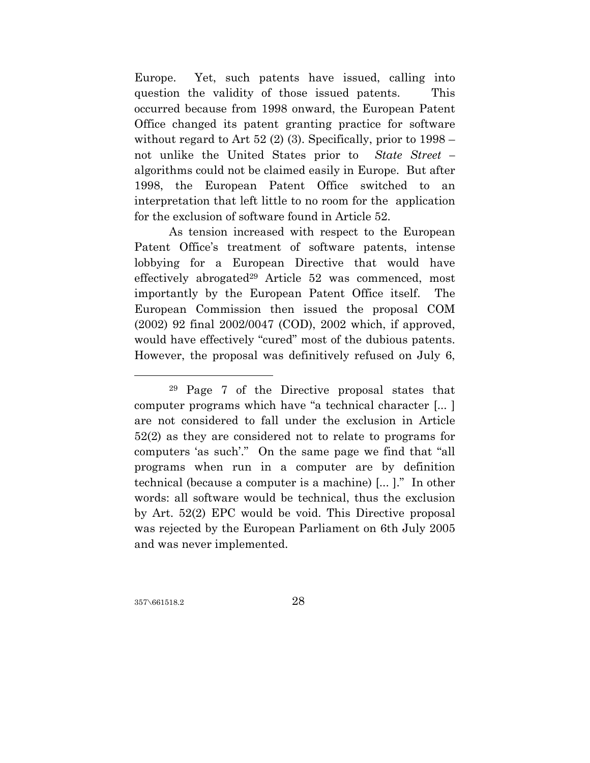Europe. Yet, such patents have issued, calling into question the validity of those issued patents. This occurred because from 1998 onward, the European Patent Office changed its patent granting practice for software without regard to Art  $52$  (2) (3). Specifically, prior to  $1998$ not unlike the United States prior to *State Street –*  algorithms could not be claimed easily in Europe. But after 1998, the European Patent Office switched to an interpretation that left little to no room for the application for the exclusion of software found in Article 52.

As tension increased with respect to the European Patent Office's treatment of software patents, intense lobbying for a European Directive that would have effectively abrogated<sup>29</sup> Article 52 was commenced, most importantly by the European Patent Office itself. The European Commission then issued the proposal COM (2002) 92 final 2002/0047 (COD), 2002 which, if approved, would have effectively "cured" most of the dubious patents. However, the proposal was definitively refused on July 6,

357\661518.2 28

<sup>29</sup> Page 7 of the Directive proposal states that computer programs which have "a technical character [... ] are not considered to fall under the exclusion in Article 52(2) as they are considered not to relate to programs for computers 'as such'." On the same page we find that "all programs when run in a computer are by definition technical (because a computer is a machine) [... ]." In other words: all software would be technical, thus the exclusion by Art. 52(2) EPC would be void. This Directive proposal was rejected by the European Parliament on 6th July 2005 and was never implemented.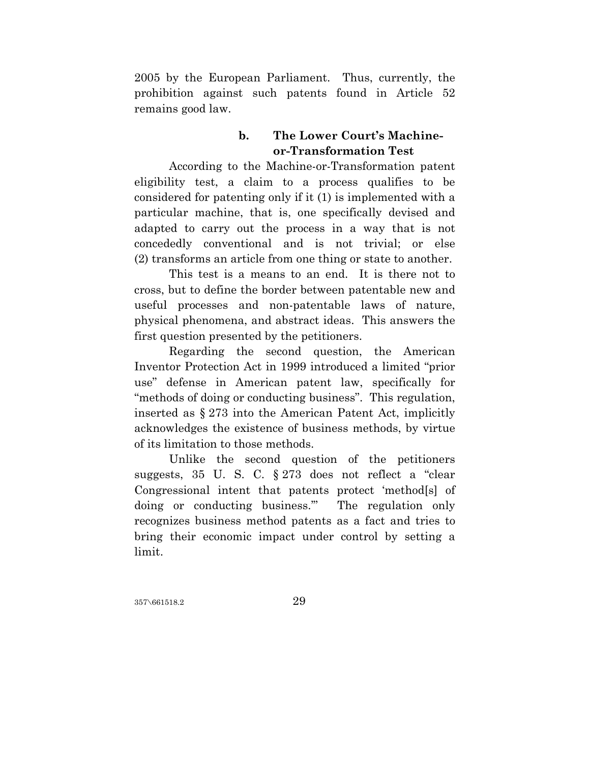2005 by the European Parliament. Thus, currently, the prohibition against such patents found in Article 52 remains good law.

# **b. The Lower Court's Machineor-Transformation Test**

According to the Machine-or-Transformation patent eligibility test, a claim to a process qualifies to be considered for patenting only if it (1) is implemented with a particular machine, that is, one specifically devised and adapted to carry out the process in a way that is not concededly conventional and is not trivial; or else (2) transforms an article from one thing or state to another.

This test is a means to an end. It is there not to cross, but to define the border between patentable new and useful processes and non-patentable laws of nature, physical phenomena, and abstract ideas. This answers the first question presented by the petitioners.

Regarding the second question, the American Inventor Protection Act in 1999 introduced a limited "prior use" defense in American patent law, specifically for "methods of doing or conducting business". This regulation, inserted as § 273 into the American Patent Act, implicitly acknowledges the existence of business methods, by virtue of its limitation to those methods.

Unlike the second question of the petitioners suggests, 35 U. S. C. § 273 does not reflect a "clear Congressional intent that patents protect 'method[s] of doing or conducting business.'" The regulation only recognizes business method patents as a fact and tries to bring their economic impact under control by setting a limit.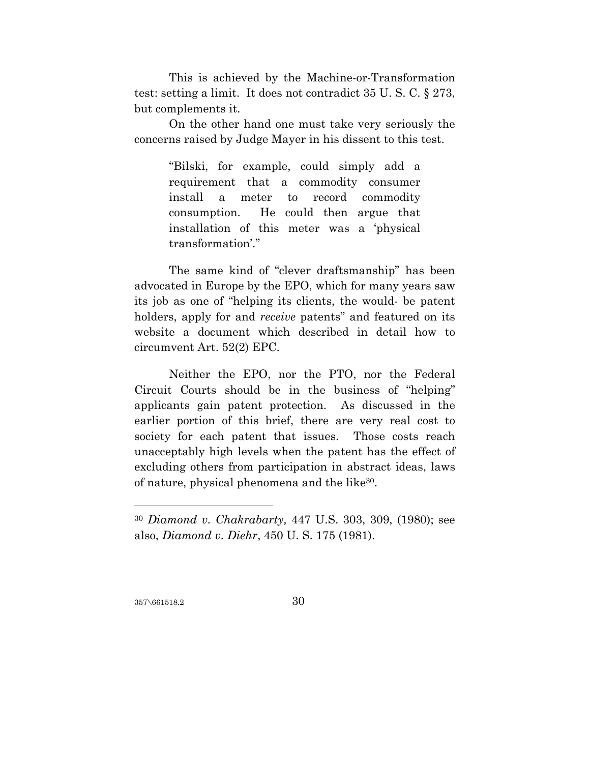This is achieved by the Machine-or-Transformation test: setting a limit. It does not contradict 35 U. S. C. § 273, but complements it.

On the other hand one must take very seriously the concerns raised by Judge Mayer in his dissent to this test.

> "Bilski, for example, could simply add a requirement that a commodity consumer install a meter to record commodity consumption. He could then argue that installation of this meter was a 'physical transformation'."

The same kind of "clever draftsmanship" has been advocated in Europe by the EPO, which for many years saw its job as one of "helping its clients, the would- be patent holders, apply for and *receive* patents" and featured on its website a document which described in detail how to circumvent Art. 52(2) EPC.

Neither the EPO, nor the PTO, nor the Federal Circuit Courts should be in the business of "helping" applicants gain patent protection. As discussed in the earlier portion of this brief, there are very real cost to society for each patent that issues. Those costs reach unacceptably high levels when the patent has the effect of excluding others from participation in abstract ideas, laws of nature, physical phenomena and the like30.

357\661518.2 30

<sup>30</sup> *Diamond v. Chakrabarty,* 447 U.S. 303, 309, (1980); see also, *Diamond v. Diehr*, 450 U. S. 175 (1981).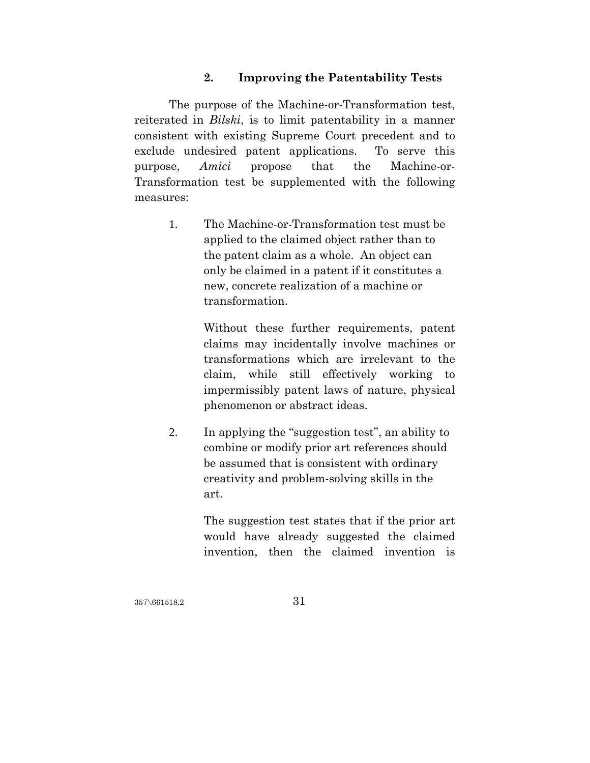### **2. Improving the Patentability Tests**

The purpose of the Machine-or-Transformation test, reiterated in *Bilski*, is to limit patentability in a manner consistent with existing Supreme Court precedent and to exclude undesired patent applications. To serve this purpose, *Amici* propose that the Machine-or-Transformation test be supplemented with the following measures:

> 1. The Machine-or-Transformation test must be applied to the claimed object rather than to the patent claim as a whole. An object can only be claimed in a patent if it constitutes a new, concrete realization of a machine or transformation.

> > Without these further requirements, patent claims may incidentally involve machines or transformations which are irrelevant to the claim, while still effectively working to impermissibly patent laws of nature, physical phenomenon or abstract ideas.

2. In applying the "suggestion test", an ability to combine or modify prior art references should be assumed that is consistent with ordinary creativity and problem-solving skills in the art.

> The suggestion test states that if the prior art would have already suggested the claimed invention, then the claimed invention is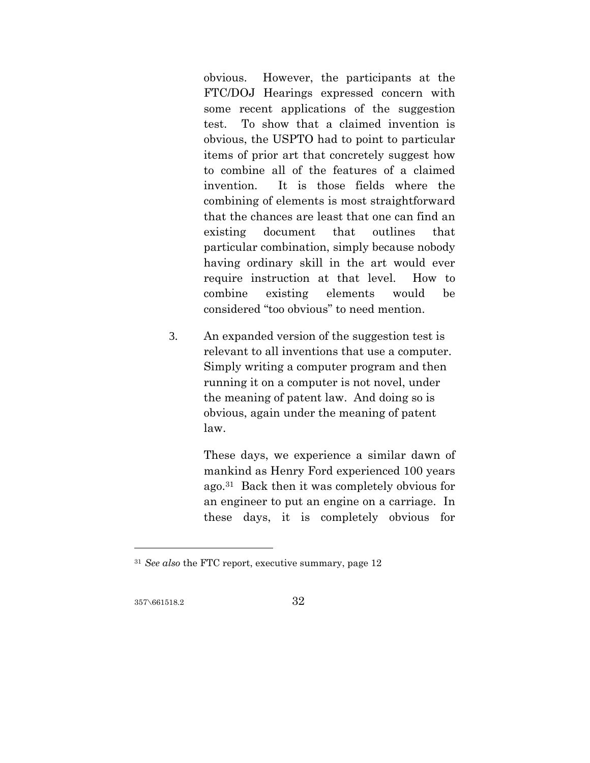obvious. However, the participants at the FTC/DOJ Hearings expressed concern with some recent applications of the suggestion test. To show that a claimed invention is obvious, the USPTO had to point to particular items of prior art that concretely suggest how to combine all of the features of a claimed invention. It is those fields where the combining of elements is most straightforward that the chances are least that one can find an existing document that outlines that particular combination, simply because nobody having ordinary skill in the art would ever require instruction at that level. How to combine existing elements would be considered "too obvious" to need mention.

3. An expanded version of the suggestion test is relevant to all inventions that use a computer. Simply writing a computer program and then running it on a computer is not novel, under the meaning of patent law. And doing so is obvious, again under the meaning of patent law.

> These days, we experience a similar dawn of mankind as Henry Ford experienced 100 years ago.31 Back then it was completely obvious for an engineer to put an engine on a carriage. In these days, it is completely obvious for

357\661518.2 32

<sup>31</sup> *See also* the FTC report, executive summary, page 12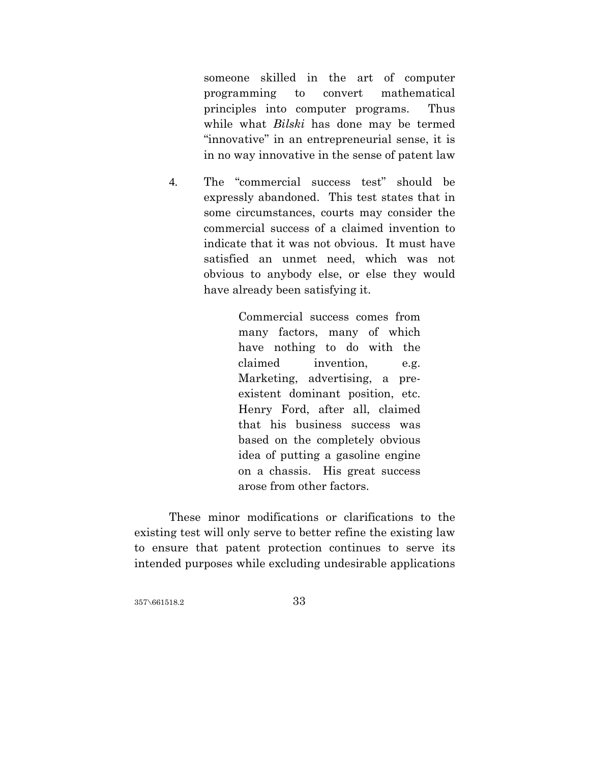someone skilled in the art of computer programming to convert mathematical principles into computer programs. Thus while what *Bilski* has done may be termed "innovative" in an entrepreneurial sense, it is in no way innovative in the sense of patent law

4. The "commercial success test" should be expressly abandoned. This test states that in some circumstances, courts may consider the commercial success of a claimed invention to indicate that it was not obvious. It must have satisfied an unmet need, which was not obvious to anybody else, or else they would have already been satisfying it.

> Commercial success comes from many factors, many of which have nothing to do with the claimed invention, e.g. Marketing, advertising, a preexistent dominant position, etc. Henry Ford, after all, claimed that his business success was based on the completely obvious idea of putting a gasoline engine on a chassis. His great success arose from other factors.

These minor modifications or clarifications to the existing test will only serve to better refine the existing law to ensure that patent protection continues to serve its intended purposes while excluding undesirable applications

357\661518.2 357\661518.2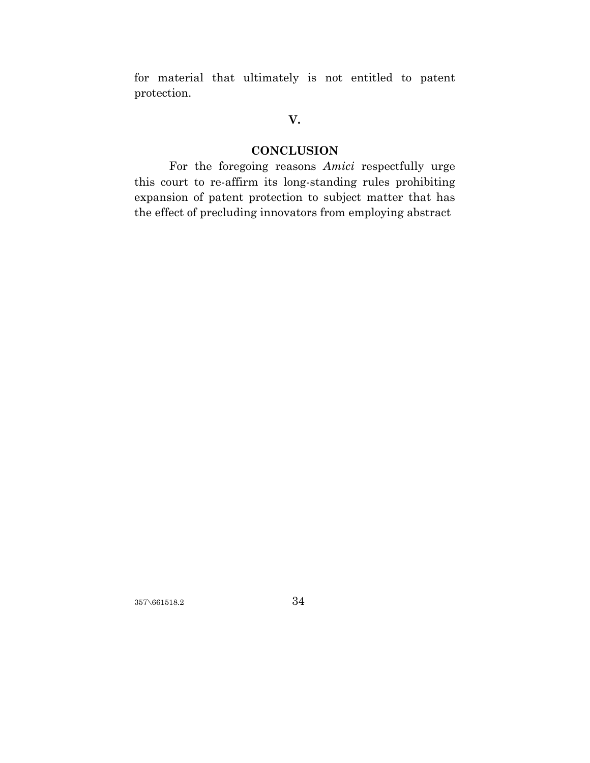for material that ultimately is not entitled to patent protection.

# **V.**

# **CONCLUSION**

For the foregoing reasons *Amici* respectfully urge this court to re-affirm its long-standing rules prohibiting expansion of patent protection to subject matter that has the effect of precluding innovators from employing abstract